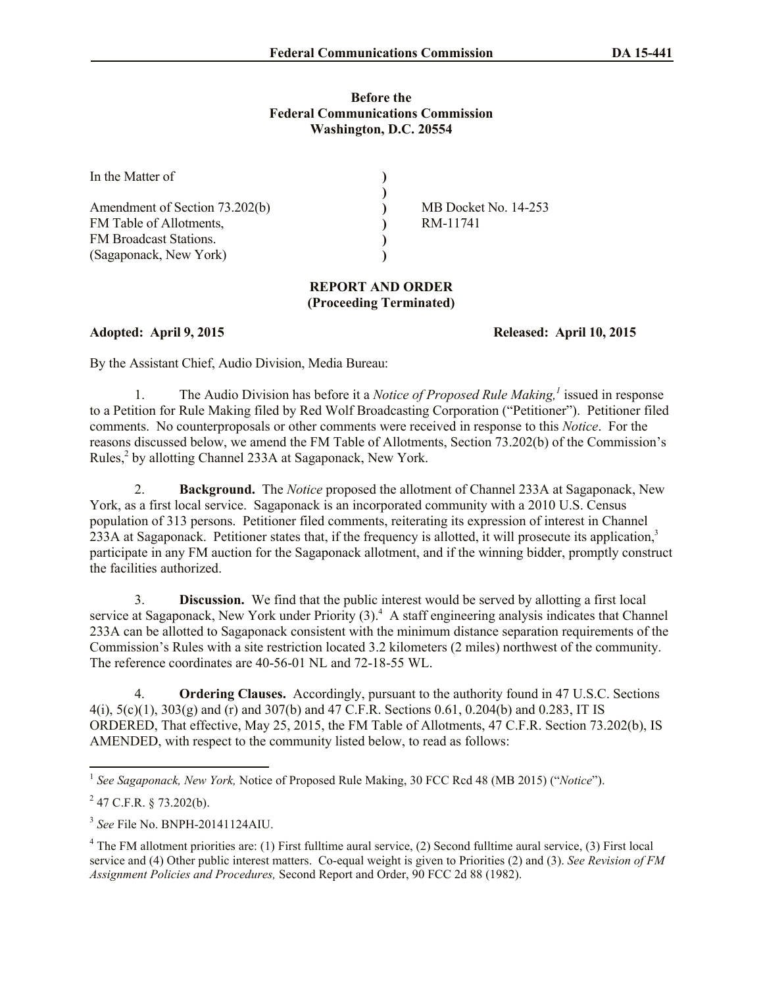## **Before the Federal Communications Commission Washington, D.C. 20554**

| In the Matter of               |                      |
|--------------------------------|----------------------|
|                                |                      |
| Amendment of Section 73.202(b) | MB Docket No. 14-253 |
| FM Table of Allotments,        | RM-11741             |
| <b>FM</b> Broadcast Stations.  |                      |
| (Sagaponack, New York)         |                      |

## **REPORT AND ORDER (Proceeding Terminated)**

**Adopted: April 9, 2015 Released: April 10, 2015**

By the Assistant Chief, Audio Division, Media Bureau:

1. The Audio Division has before it a *Notice of Proposed Rule Making,<sup>1</sup>* issued in response to a Petition for Rule Making filed by Red Wolf Broadcasting Corporation ("Petitioner"). Petitioner filed comments. No counterproposals or other comments were received in response to this *Notice*. For the reasons discussed below, we amend the FM Table of Allotments, Section 73.202(b) of the Commission's Rules,<sup>2</sup> by allotting Channel 233A at Sagaponack, New York.

2. **Background.** The *Notice* proposed the allotment of Channel 233A at Sagaponack, New York, as a first local service. Sagaponack is an incorporated community with a 2010 U.S. Census population of 313 persons. Petitioner filed comments, reiterating its expression of interest in Channel 233A at Sagaponack. Petitioner states that, if the frequency is allotted, it will prosecute its application,<sup>3</sup> participate in any FM auction for the Sagaponack allotment, and if the winning bidder, promptly construct the facilities authorized.

3. **Discussion.** We find that the public interest would be served by allotting a first local service at Sagaponack, New York under Priority (3).<sup>4</sup> A staff engineering analysis indicates that Channel 233A can be allotted to Sagaponack consistent with the minimum distance separation requirements of the Commission's Rules with a site restriction located 3.2 kilometers (2 miles) northwest of the community. The reference coordinates are 40-56-01 NL and 72-18-55 WL.

4. **Ordering Clauses.** Accordingly, pursuant to the authority found in 47 U.S.C. Sections  $4(i)$ ,  $5(c)(1)$ ,  $303(g)$  and (r) and  $307(b)$  and  $47$  C.F.R. Sections 0.61, 0.204(b) and 0.283, IT IS ORDERED, That effective, May 25, 2015, the FM Table of Allotments, 47 C.F.R. Section 73.202(b), IS AMENDED, with respect to the community listed below, to read as follows:

 1 *See Sagaponack, New York,* Notice of Proposed Rule Making, 30 FCC Rcd 48 (MB 2015) ("*Notice*").

 $^{2}$  47 C.F.R. § 73.202(b).

<sup>3</sup> *See* File No. BNPH-20141124AIU.

<sup>&</sup>lt;sup>4</sup> The FM allotment priorities are: (1) First fulltime aural service, (2) Second fulltime aural service, (3) First local service and (4) Other public interest matters. Co-equal weight is given to Priorities (2) and (3). *See Revision of FM Assignment Policies and Procedures,* Second Report and Order, 90 FCC 2d 88 (1982).